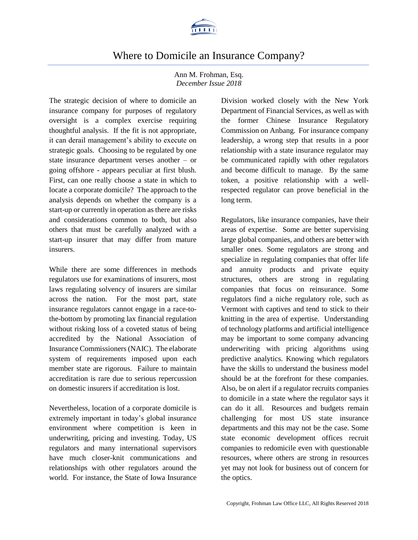

# Where to Domicile an Insurance Company?

#### Ann M. Frohman, Esq. *December Issue 2018*

The strategic decision of where to domicile an insurance company for purposes of regulatory oversight is a complex exercise requiring thoughtful analysis. If the fit is not appropriate, it can derail management's ability to execute on strategic goals. Choosing to be regulated by one state insurance department verses another – or going offshore - appears peculiar at first blush. First, can one really choose a state in which to locate a corporate domicile? The approach to the analysis depends on whether the company is a start-up or currently in operation as there are risks and considerations common to both, but also others that must be carefully analyzed with a start-up insurer that may differ from mature insurers.

While there are some differences in methods regulators use for examinations of insurers, most laws regulating solvency of insurers are similar across the nation. For the most part, state insurance regulators cannot engage in a race-tothe-bottom by promoting lax financial regulation without risking loss of a coveted status of being accredited by the National Association of Insurance Commissioners(NAIC). The elaborate system of requirements imposed upon each member state are rigorous. Failure to maintain accreditation is rare due to serious repercussion on domestic insurers if accreditation is lost.

Nevertheless, location of a corporate domicile is extremely important in today's global insurance environment where competition is keen in underwriting, pricing and investing. Today, US regulators and many international supervisors have much closer-knit communications and relationships with other regulators around the world. For instance, the State of Iowa Insurance Division worked closely with the New York Department of Financial Services, as well as with the former Chinese Insurance Regulatory Commission on Anbang. For insurance company leadership, a wrong step that results in a poor relationship with a state insurance regulator may be communicated rapidly with other regulators and become difficult to manage. By the same token, a positive relationship with a wellrespected regulator can prove beneficial in the long term.

Regulators, like insurance companies, have their areas of expertise. Some are better supervising large global companies, and others are better with smaller ones. Some regulators are strong and specialize in regulating companies that offer life and annuity products and private equity structures, others are strong in regulating companies that focus on reinsurance. Some regulators find a niche regulatory role, such as Vermont with captives and tend to stick to their knitting in the area of expertise. Understanding of technology platforms and artificial intelligence may be important to some company advancing underwriting with pricing algorithms using predictive analytics. Knowing which regulators have the skills to understand the business model should be at the forefront for these companies. Also, be on alert if a regulator recruits companies to domicile in a state where the regulator says it can do it all. Resources and budgets remain challenging for most US state insurance departments and this may not be the case. Some state economic development offices recruit companies to redomicile even with questionable resources, where others are strong in resources yet may not look for business out of concern for the optics.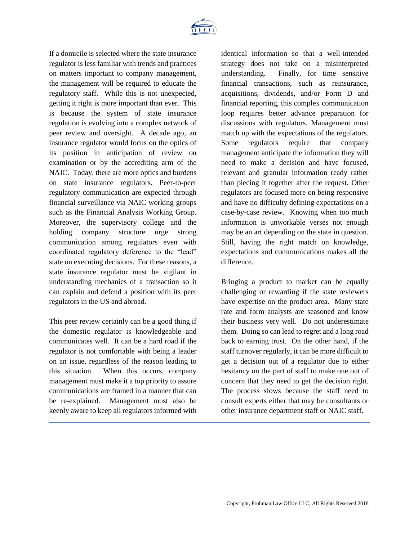

If a domicile is selected where the state insurance regulator is less familiar with trends and practices on matters important to company management, the management will be required to educate the regulatory staff. While this is not unexpected, getting it right is more important than ever. This is because the system of state insurance regulation is evolving into a complex network of peer review and oversight. A decade ago, an insurance regulator would focus on the optics of its position in anticipation of review on examination or by the accrediting arm of the NAIC. Today, there are more optics and burdens on state insurance regulators. Peer-to-peer regulatory communication are expected through financial surveillance via NAIC working groups such as the Financial Analysis Working Group. Moreover, the supervisory college and the holding company structure urge strong communication among regulators even with coordinated regulatory deference to the "lead" state on executing decisions. For these reasons, a state insurance regulator must be vigilant in understanding mechanics of a transaction so it can explain and defend a position with its peer regulators in the US and abroad.

This peer review certainly can be a good thing if the domestic regulator is knowledgeable and communicates well. It can be a hard road if the regulator is not comfortable with being a leader on an issue, regardless of the reason leading to this situation. When this occurs, company management must make it a top priority to assure communications are framed in a manner that can be re-explained. Management must also be keenly aware to keep all regulators informed with identical information so that a well-intended strategy does not take on a misinterpreted understanding. Finally, for time sensitive financial transactions, such as reinsurance, acquisitions, dividends, and/or Form D and financial reporting, this complex communication loop requires better advance preparation for discussions with regulators. Management must match up with the expectations of the regulators. Some regulators require that company management anticipate the information they will need to make a decision and have focused, relevant and granular information ready rather than piecing it together after the request. Other regulators are focused more on being responsive and have no difficulty defining expectations on a case-by-case review. Knowing when too much information is unworkable verses not enough may be an art depending on the state in question. Still, having the right match on knowledge, expectations and communications makes all the difference.

Bringing a product to market can be equally challenging or rewarding if the state reviewers have expertise on the product area. Many state rate and form analysts are seasoned and know their business very well. Do not underestimate them. Doing so can lead to regret and a long road back to earning trust. On the other hand, if the staff turnover regularly, it can be more difficult to get a decision out of a regulator due to either hesitancy on the part of staff to make one out of concern that they need to get the decision right. The process slows because the staff need to consult experts either that may be consultants or other insurance department staff or NAIC staff.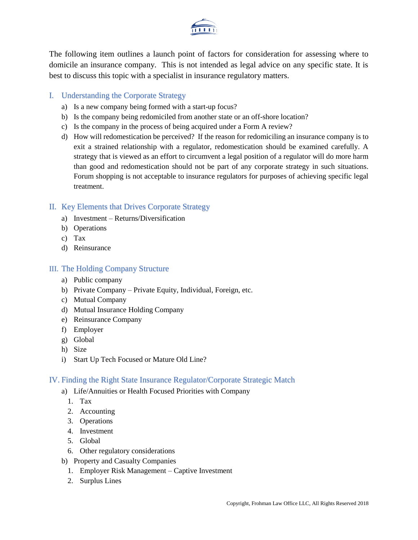

The following item outlines a launch point of factors for consideration for assessing where to domicile an insurance company. This is not intended as legal advice on any specific state. It is best to discuss this topic with a specialist in insurance regulatory matters.

#### I. Understanding the Corporate Strategy

- a) Is a new company being formed with a start-up focus?
- b) Is the company being redomiciled from another state or an off-shore location?
- c) Is the company in the process of being acquired under a Form A review?
- d) How will redomestication be perceived? If the reason for redomiciling an insurance company is to exit a strained relationship with a regulator, redomestication should be examined carefully. A strategy that is viewed as an effort to circumvent a legal position of a regulator will do more harm than good and redomestication should not be part of any corporate strategy in such situations. Forum shopping is not acceptable to insurance regulators for purposes of achieving specific legal treatment.

### II. Key Elements that Drives Corporate Strategy

- a) Investment Returns/Diversification
- b) Operations
- c) Tax
- d) Reinsurance

#### III. The Holding Company Structure

- a) Public company
- b) Private Company Private Equity, Individual, Foreign, etc.
- c) Mutual Company
- d) Mutual Insurance Holding Company
- e) Reinsurance Company
- f) Employer
- g) Global
- h) Size
- i) Start Up Tech Focused or Mature Old Line?

#### IV. Finding the Right State Insurance Regulator/Corporate Strategic Match

- a) Life/Annuities or Health Focused Priorities with Company
	- 1. Tax
	- 2. Accounting
	- 3. Operations
	- 4. Investment
	- 5. Global
	- 6. Other regulatory considerations
- b) Property and Casualty Companies
	- 1. Employer Risk Management Captive Investment
	- 2. Surplus Lines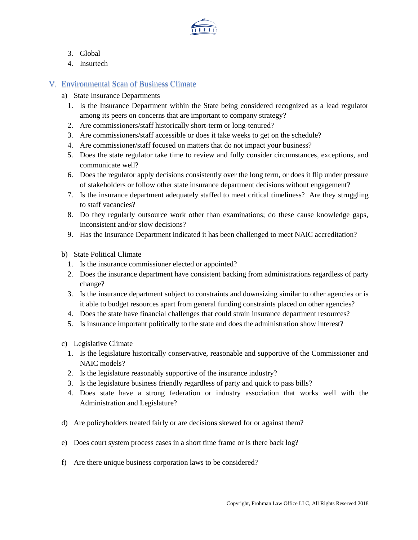

- 3. Global
- 4. Insurtech

## V. Environmental Scan of Business Climate

- a) State Insurance Departments
	- 1. Is the Insurance Department within the State being considered recognized as a lead regulator among its peers on concerns that are important to company strategy?
	- 2. Are commissioners/staff historically short-term or long-tenured?
	- 3. Are commissioners/staff accessible or does it take weeks to get on the schedule?
	- 4. Are commissioner/staff focused on matters that do not impact your business?
	- 5. Does the state regulator take time to review and fully consider circumstances, exceptions, and communicate well?
	- 6. Does the regulator apply decisions consistently over the long term, or does it flip under pressure of stakeholders or follow other state insurance department decisions without engagement?
	- 7. Is the insurance department adequately staffed to meet critical timeliness? Are they struggling to staff vacancies?
	- 8. Do they regularly outsource work other than examinations; do these cause knowledge gaps, inconsistent and/or slow decisions?
	- 9. Has the Insurance Department indicated it has been challenged to meet NAIC accreditation?
- b) State Political Climate
	- 1. Is the insurance commissioner elected or appointed?
	- 2. Does the insurance department have consistent backing from administrations regardless of party change?
	- 3. Is the insurance department subject to constraints and downsizing similar to other agencies or is it able to budget resources apart from general funding constraints placed on other agencies?
	- 4. Does the state have financial challenges that could strain insurance department resources?
	- 5. Is insurance important politically to the state and does the administration show interest?
- c) Legislative Climate
	- 1. Is the legislature historically conservative, reasonable and supportive of the Commissioner and NAIC models?
	- 2. Is the legislature reasonably supportive of the insurance industry?
	- 3. Is the legislature business friendly regardless of party and quick to pass bills?
	- 4. Does state have a strong federation or industry association that works well with the Administration and Legislature?
- d) Are policyholders treated fairly or are decisions skewed for or against them?
- e) Does court system process cases in a short time frame or is there back log?
- f) Are there unique business corporation laws to be considered?